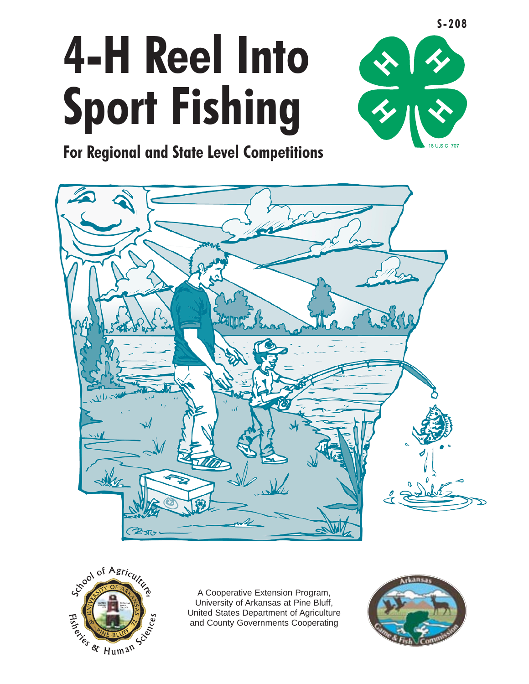# **4-H Reel Into Sport Fishing**



**For Regional and State Level Competitions** 





A Cooperative Extension Program, University of Arkansas at Pine Bluff, United States Department of Agriculture and County Governments Cooperating

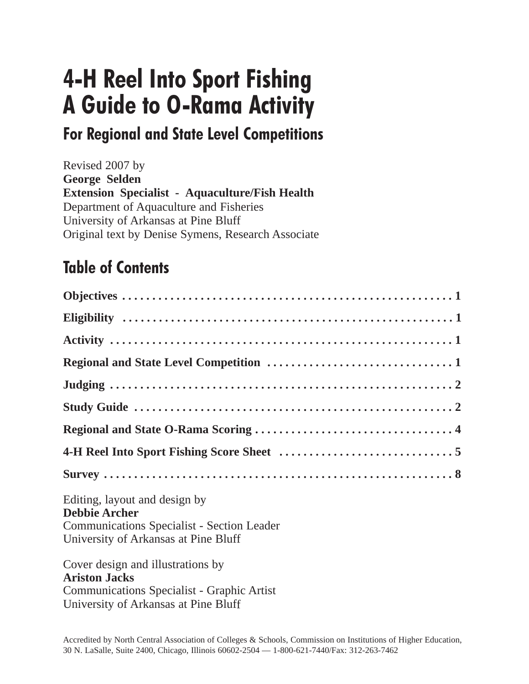## **4-H Reel Into Sport Fishing A Guide to O-Rama Activity**

## **For Regional and State Level Competitions**

Revised 2007 by **George Selden Extension Specialist - Aquaculture/Fish Health**  Department of Aquaculture and Fisheries University of Arkansas at Pine Bluff Original text by Denise Symens, Research Associate

## **Table of Contents**

| Editing, layout and design by<br><b>Debbie Archer</b><br><b>Communications Specialist - Section Leader</b><br>University of Arkansas at Pine Bluff     |
|--------------------------------------------------------------------------------------------------------------------------------------------------------|
| Cover design and illustrations by<br><b>Ariston Jacks</b><br><b>Communications Specialist - Graphic Artist</b><br>University of Arkansas at Pine Bluff |

Accredited by North Central Association of Colleges & Schools, Commission on Institutions of Higher Education, 30 N. LaSalle, Suite 2400, Chicago, Illinois 60602-2504 — 1-800-621-7440/Fax: 312-263-7462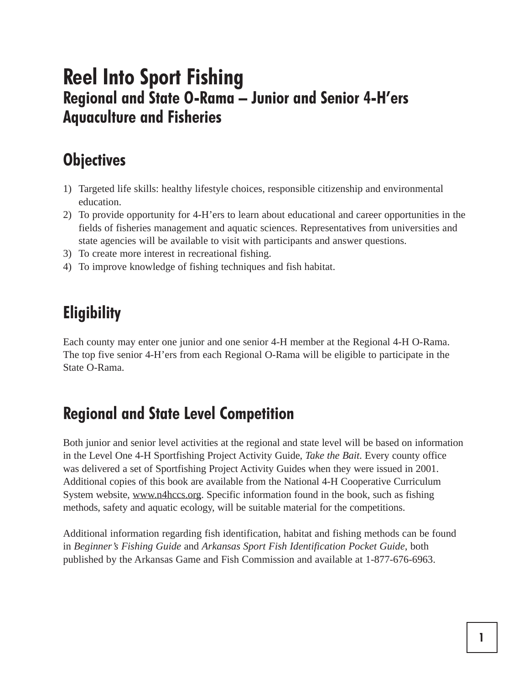## **Reel Into Sport Fishing Regional and State O-Rama – Junior and Senior 4-H'ers Aquaculture and Fisheries**

## **Objectives**

- 1) Targeted life skills: healthy lifestyle choices, responsible citizenship and environmental education.
- 2) To provide opportunity for 4-H'ers to learn about educational and career opportunities in the fields of fisheries management and aquatic sciences. Representatives from universities and state agencies will be available to visit with participants and answer questions.
- 3) To create more interest in recreational fishing.
- 4) To improve knowledge of fishing techniques and fish habitat.

## **Eligibility**

Each county may enter one junior and one senior 4-H member at the Regional 4-H O-Rama. The top five senior 4-H'ers from each Regional O-Rama will be eligible to participate in the State O-Rama.

## **Regional and State Level Competition**

Both junior and senior level activities at the regional and state level will be based on information in the Level One 4-H Sportfishing Project Activity Guide, *Take the Bait*. Every county office was delivered a set of Sportfishing Project Activity Guides when they were issued in 2001. Additional copies of this book are available from the National 4-H Cooperative Curriculum System website, www.n4hccs.org. Specific information found in the book, such as fishing methods, safety and aquatic ecology, will be suitable material for the competitions.

Additional information regarding fish identification, habitat and fishing methods can be found in *Beginner's Fishing Guide* and *Arkansas Sport Fish Identification Pocket Guide*, both published by the Arkansas Game and Fish Commission and available at 1-877-676-6963.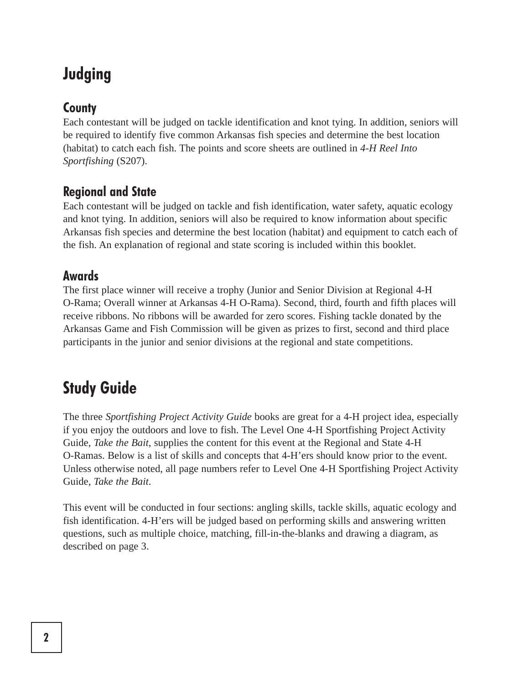## **Judging**

#### **County**

Each contestant will be judged on tackle identification and knot tying. In addition, seniors will be required to identify five common Arkansas fish species and determine the best location (habitat) to catch each fish. The points and score sheets are outlined in *4-H Reel Into Sportfishing* (S207).

#### **Regional and State**

Each contestant will be judged on tackle and fish identification, water safety, aquatic ecology and knot tying. In addition, seniors will also be required to know information about specific Arkansas fish species and determine the best location (habitat) and equipment to catch each of the fish. An explanation of regional and state scoring is included within this booklet.

#### **Awards**

The first place winner will receive a trophy (Junior and Senior Division at Regional 4-H O-Rama; Overall winner at Arkansas 4-H O-Rama). Second, third, fourth and fifth places will receive ribbons. No ribbons will be awarded for zero scores. Fishing tackle donated by the Arkansas Game and Fish Commission will be given as prizes to first, second and third place participants in the junior and senior divisions at the regional and state competitions.

## **Study Guide**

The three *Sportfishing Project Activity Guide* books are great for a 4-H project idea, especially if you enjoy the outdoors and love to fish. The Level One 4-H Sportfishing Project Activity Guide, *Take the Bait*, supplies the content for this event at the Regional and State 4-H O-Ramas. Below is a list of skills and concepts that 4-H'ers should know prior to the event. Unless otherwise noted, all page numbers refer to Level One 4-H Sportfishing Project Activity Guide, *Take the Bait*.

This event will be conducted in four sections: angling skills, tackle skills, aquatic ecology and fish identification. 4-H'ers will be judged based on performing skills and answering written questions, such as multiple choice, matching, fill-in-the-blanks and drawing a diagram, as described on page 3.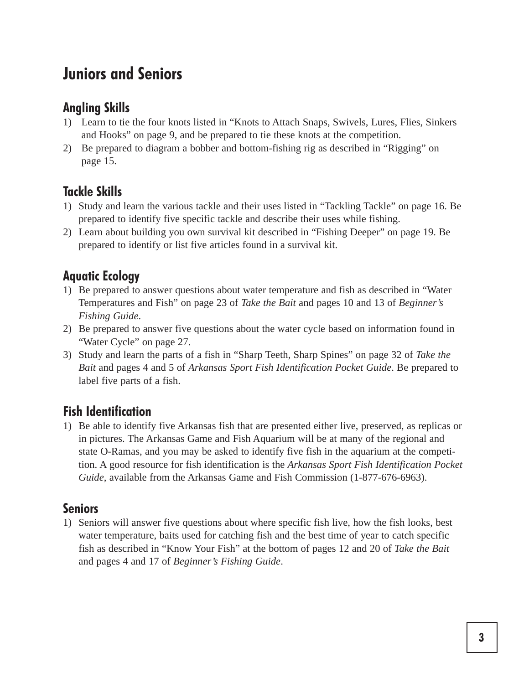## **Juniors and Seniors**

#### **Angling Skills**

- 1) Learn to tie the four knots listed in "Knots to Attach Snaps, Swivels, Lures, Flies, Sinkers and Hooks" on page 9, and be prepared to tie these knots at the competition.
- 2) Be prepared to diagram a bobber and bottom-fishing rig as described in "Rigging" on page 15.

#### **Tackle Skills**

- 1) Study and learn the various tackle and their uses listed in "Tackling Tackle" on page 16. Be prepared to identify five specific tackle and describe their uses while fishing.
- 2) Learn about building you own survival kit described in "Fishing Deeper" on page 19. Be prepared to identify or list five articles found in a survival kit.

#### **Aquatic Ecology**

- 1) Be prepared to answer questions about water temperature and fish as described in "Water Temperatures and Fish" on page 23 of *Take the Bait* and pages 10 and 13 of *Beginner's Fishing Guide*.
- 2) Be prepared to answer five questions about the water cycle based on information found in "Water Cycle" on page 27.
- 3) Study and learn the parts of a fish in "Sharp Teeth, Sharp Spines" on page 32 of *Take the Bait* and pages 4 and 5 of *Arkansas Sport Fish Identification Pocket Guide*. Be prepared to label five parts of a fish.

#### **Fish Identification**

1) Be able to identify five Arkansas fish that are presented either live, preserved, as replicas or in pictures. The Arkansas Game and Fish Aquarium will be at many of the regional and state O-Ramas, and you may be asked to identify five fish in the aquarium at the competition. A good resource for fish identification is the *Arkansas Sport Fish Identification Pocket Guide*, available from the Arkansas Game and Fish Commission (1-877-676-6963).

#### **Seniors**

1) Seniors will answer five questions about where specific fish live, how the fish looks, best water temperature, baits used for catching fish and the best time of year to catch specific fish as described in "Know Your Fish" at the bottom of pages 12 and 20 of *Take the Bait*  and pages 4 and 17 of *Beginner's Fishing Guide*.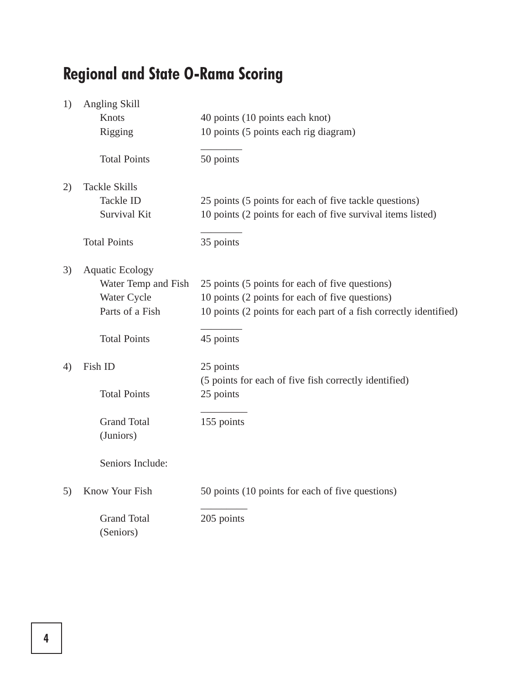## **Regional and State O-Rama Scoring**

| 1) | Angling Skill                   |                                                                   |
|----|---------------------------------|-------------------------------------------------------------------|
|    | Knots                           | 40 points (10 points each knot)                                   |
|    | Rigging                         | 10 points (5 points each rig diagram)                             |
|    | <b>Total Points</b>             | 50 points                                                         |
| 2) | <b>Tackle Skills</b>            |                                                                   |
|    | <b>Tackle ID</b>                | 25 points (5 points for each of five tackle questions)            |
|    | Survival Kit                    | 10 points (2 points for each of five survival items listed)       |
|    | <b>Total Points</b>             | 35 points                                                         |
| 3) | <b>Aquatic Ecology</b>          |                                                                   |
|    | Water Temp and Fish             | 25 points (5 points for each of five questions)                   |
|    | Water Cycle                     | 10 points (2 points for each of five questions)                   |
|    | Parts of a Fish                 | 10 points (2 points for each part of a fish correctly identified) |
|    | <b>Total Points</b>             | 45 points                                                         |
| 4) | Fish ID                         | 25 points                                                         |
|    |                                 | (5 points for each of five fish correctly identified)             |
|    | <b>Total Points</b>             | 25 points                                                         |
|    | <b>Grand Total</b>              | 155 points                                                        |
|    | (Juniors)                       |                                                                   |
|    | Seniors Include:                |                                                                   |
| 5) | Know Your Fish                  | 50 points (10 points for each of five questions)                  |
|    | <b>Grand Total</b><br>(Seniors) | 205 points                                                        |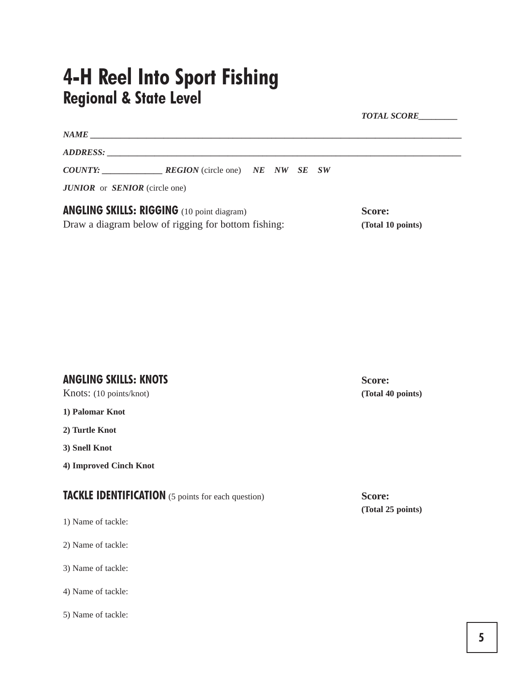## **4-H Reel Into Sport Fishing Regional & State Level**

|                                                     |                                                       |  |  |                   | <b>TOTAL SCORE</b> |
|-----------------------------------------------------|-------------------------------------------------------|--|--|-------------------|--------------------|
|                                                     |                                                       |  |  |                   |                    |
|                                                     |                                                       |  |  |                   |                    |
|                                                     | <b>COUNTY: REGION</b> (circle one) <b>NE NW SE SW</b> |  |  |                   |                    |
| <b>JUNIOR</b> or <b>SENIOR</b> (circle one)         |                                                       |  |  |                   |                    |
|                                                     | <b>ANGLING SKILLS: RIGGING</b> (10 point diagram)     |  |  |                   | Score:             |
| Draw a diagram below of rigging for bottom fishing: |                                                       |  |  | (Total 10 points) |                    |

#### **ANGLING SKILLS: KNOTS Score:**

Knots: (10 points/knot) **(Total 40 points)** 

**1) Palomar Knot** 

**2) Turtle Knot** 

**3) Snell Knot** 

**4) Improved Cinch Knot** 

**TACKLE IDENTIFICATION** (5 points for each question) **Score: Score:** 

- 1) Name of tackle:
- 2) Name of tackle:

3) Name of tackle:

4) Name of tackle:

5) Name of tackle:

**(Total 25 points)**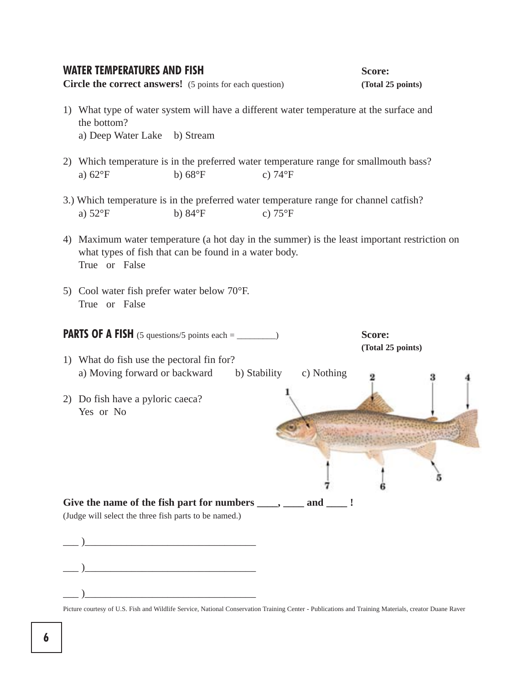#### **WATER TEMPERATURES AND FISH <b>SCOTE:** Score:

**Circle the correct answers!** (5 points for each question) (Total 25 points)

- 1) What type of water system will have a different water temperature at the surface and the bottom? a) Deep Water Lake b) Stream
- 2) Which temperature is in the preferred water temperature range for smallmouth bass? a)  $62^{\circ}F$  b)  $68^{\circ}F$  c)  $74^{\circ}F$
- 3.) Which temperature is in the preferred water temperature range for channel catfish? a)  $52^{\circ}F$  b)  $84^{\circ}F$  c)  $75^{\circ}F$
- True or False 4) Maximum water temperature (a hot day in the summer) is the least important restriction on what types of fish that can be found in a water body.
- True or False 5) Cool water fish prefer water below 70°F.



Picture courtesy of U.S. Fish and Wildlife Service, National Conservation Training Center - Publications and Training Materials, creator Duane Raver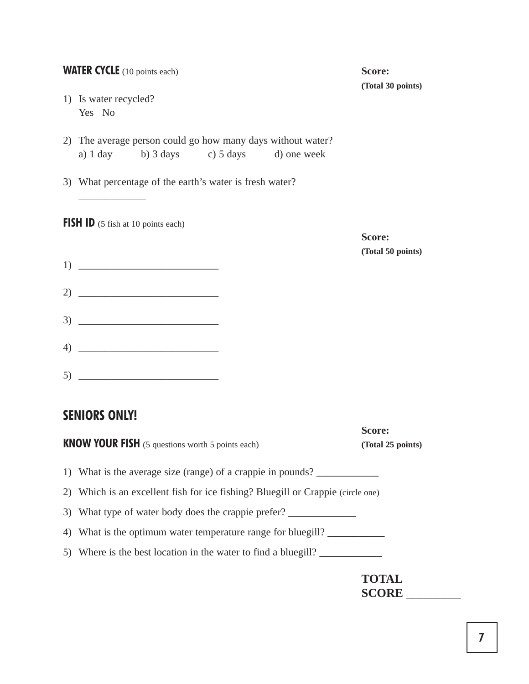| <b>WATER CYCLE</b> (10 points each)                                                                     | Score:<br>(Total 30 points) |
|---------------------------------------------------------------------------------------------------------|-----------------------------|
| 1) Is water recycled?<br>Yes No                                                                         |                             |
| 2) The average person could go how many days without water?<br>a) 1 day b) 3 days c) 5 days d) one week |                             |
| 3) What percentage of the earth's water is fresh water?                                                 |                             |
| <b>FISH ID</b> (5 fish at 10 points each)                                                               | Score:                      |
| $\begin{array}{c} 1 \end{array}$                                                                        | (Total 50 points)           |
| 2) $\frac{1}{2}$                                                                                        |                             |
| $\begin{array}{c}\n3) \end{array}$                                                                      |                             |
|                                                                                                         |                             |
|                                                                                                         |                             |
| <b>SENIORS ONLY!</b>                                                                                    |                             |
| <b>KNOW YOUR FISH</b> (5 questions worth 5 points each)                                                 | Score:<br>(Total 25 points) |
| 1) What is the average size (range) of a crappie in pounds?                                             |                             |

2) Which is an excellent fish for ice fishing? Bluegill or Crappie (circle one)

3) What type of water body does the crappie prefer? \_\_\_\_\_\_\_\_\_\_\_\_\_\_\_\_\_\_\_\_\_\_\_\_\_\_\_\_\_

4) What is the optimum water temperature range for bluegill? \_\_\_\_\_\_\_\_\_\_\_\_\_\_\_\_\_\_\_

5) Where is the best location in the water to find a bluegill?

**TOTAL SCORE** \_\_\_\_\_\_\_\_\_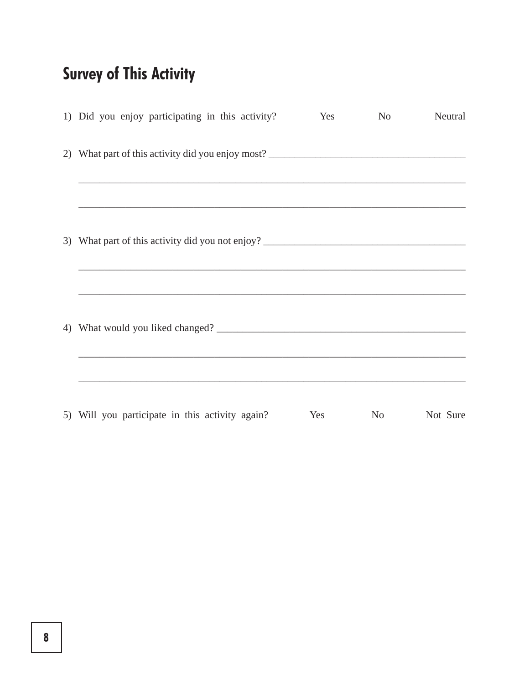## **Survey of This Activity**

| 1) Did you enjoy participating in this activity? | Yes | No | Neutral  |
|--------------------------------------------------|-----|----|----------|
|                                                  |     |    |          |
|                                                  |     |    |          |
|                                                  |     |    |          |
|                                                  |     |    |          |
| 5) Will you participate in this activity again?  | Yes | No | Not Sure |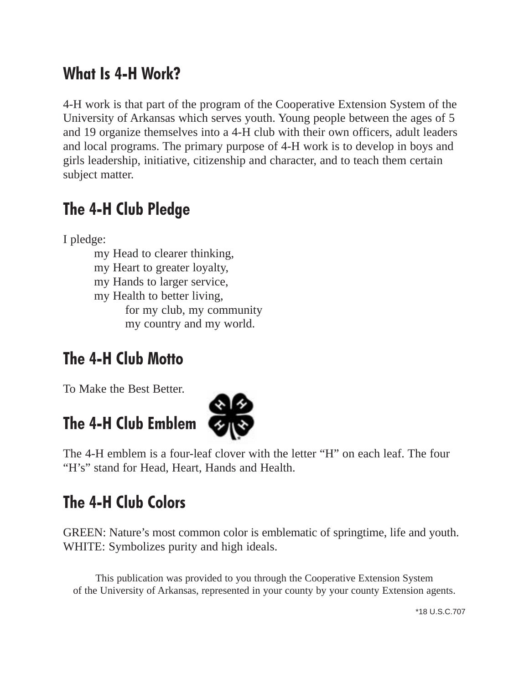## **What Is 4-H Work?**

4-H work is that part of the program of the Cooperative Extension System of the University of Arkansas which serves youth. Young people between the ages of 5 and 19 organize themselves into a 4-H club with their own officers, adult leaders and local programs. The primary purpose of 4-H work is to develop in boys and girls leadership, initiative, citizenship and character, and to teach them certain subject matter.

## **The 4-H Club Pledge**

I pledge:

my Head to clearer thinking,

my Heart to greater loyalty,

my Hands to larger service,

my Health to better living,

for my club, my community my country and my world.

## **The 4-H Club Motto**

To Make the Best Better.

## **The 4-H Club Emblem**



The 4-H emblem is a four-leaf clover with the letter "H" on each leaf. The four "H's" stand for Head, Heart, Hands and Health.

## **The 4-H Club Colors**

GREEN: Nature's most common color is emblematic of springtime, life and youth. WHITE: Symbolizes purity and high ideals.

This publication was provided to you through the Cooperative Extension System of the University of Arkansas, represented in your county by your county Extension agents.